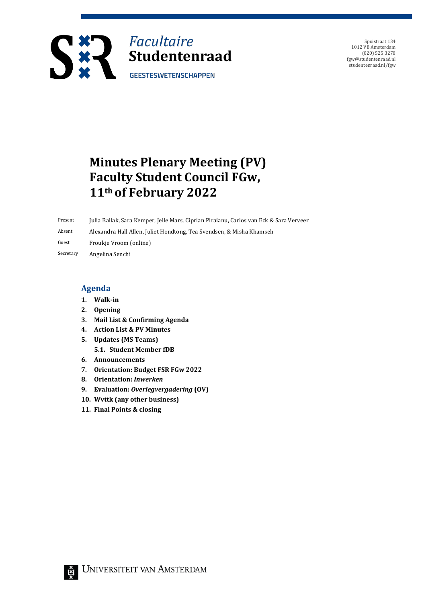

Spuistraat 134 1012 VB Amsterdam (020) 525 3278 fgw@studentenraad.nl studentenraad.nl/fgw

# **Minutes Plenary Meeting (PV) Faculty Student Council FGw, 11th of February 2022**

Present Julia Ballak, Sara Kemper, Jelle Mars, Ciprian Piraianu, Carlos van Eck & Sara Verveer Absent Alexandra Hall Allen, Juliet Hondtong, Tea Svendsen, & Misha Khamseh

Guest Froukje Vroom (online)

Secretary Angelina Senchi

### **Agenda**

- **1. Walk-in**
- **2. Opening**
- **3. Mail List & Confirming Agenda**
- **4. Action List & PV Minutes**
- **5. Updates (MS Teams) 5.1. Student Member fDB**
- **6. Announcements**
- **7. Orientation: Budget FSR FGw 2022**
- **8. Orientation:** *Inwerken*
- **9. Evaluation:** *Overlegvergadering* **(OV)**
- **10. Wvttk (any other business)**
- **11. Final Points & closing**

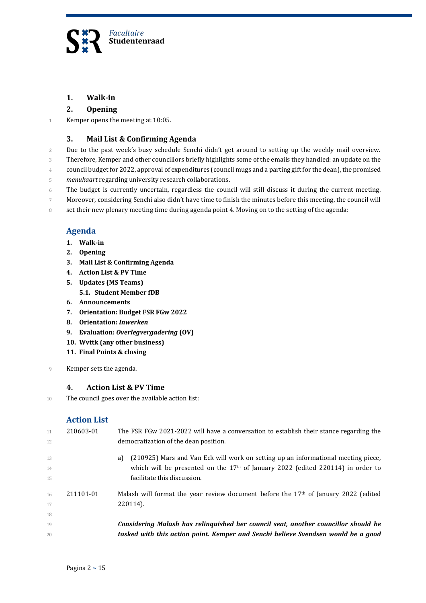

# **1. Walk-in**

### **2. Opening**

1 Kemper opens the meeting at 10:05.

# **3. Mail List & Confirming Agenda**

2 Due to the past week's busy schedule Senchi didn't get around to setting up the weekly mail overview.

3 Therefore, Kemper and other councillors briefly highlights some of the emails they handled: an update on the

4 council budget for 2022, approval of expenditures (council mugs and a parting gift for the dean), the promised

- 5 *menukaart* regarding university research collaborations.
- 6 The budget is currently uncertain, regardless the council will still discuss it during the current meeting.

7 Moreover, considering Senchi also didn't have time to finish the minutes before this meeting, the council will

8 set their new plenary meeting time during agenda point 4. Moving on to the setting of the agenda:

# **Agenda**

- **1. Walk-in**
- **2. Opening**
- **3. Mail List & Confirming Agenda**
- **4. Action List & PV Time**
- **5. Updates (MS Teams)**
	- **5.1. Student Member fDB**
- **6. Announcements**
- **7. Orientation: Budget FSR FGw 2022**
- **8. Orientation:** *Inwerken*
- **9. Evaluation:** *Overlegvergadering* **(OV)**
- **10. Wvttk (any other business)**
- **11. Final Points & closing**
- 9 Kemper sets the agenda.

#### **4. Action List & PV Time**

10 The council goes over the available action list:

# **Action List**

| 11<br>12       | 210603-01 | The FSR FGw 2021-2022 will have a conversation to establish their stance regarding the<br>democratization of the dean position.                                                                                       |
|----------------|-----------|-----------------------------------------------------------------------------------------------------------------------------------------------------------------------------------------------------------------------|
| 13<br>14<br>15 |           | (210925) Mars and Van Eck will work on setting up an informational meeting piece,<br>a)<br>which will be presented on the 17 <sup>th</sup> of January 2022 (edited 220114) in order to<br>facilitate this discussion. |
| 16<br>17<br>18 | 211101-01 | Malash will format the year review document before the $17th$ of January 2022 (edited<br>220114).                                                                                                                     |
| 19<br>20       |           | Considering Malash has relinquished her council seat, another councillor should be<br>tasked with this action point. Kemper and Senchi believe Svendsen would be a good                                               |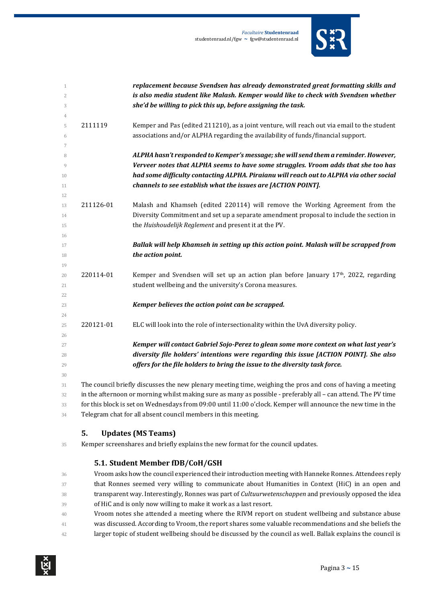

| $\mathbf{1}$   |           | replacement because Svendsen has already demonstrated great formatting skills and                             |
|----------------|-----------|---------------------------------------------------------------------------------------------------------------|
| $\overline{2}$ |           | is also media student like Malash. Kemper would like to check with Svendsen whether                           |
| 3              |           | she'd be willing to pick this up, before assigning the task.                                                  |
| $\overline{4}$ |           |                                                                                                               |
| 5              | 2111119   | Kemper and Pas (edited 211210), as a joint venture, will reach out via email to the student                   |
| 6              |           | associations and/or ALPHA regarding the availability of funds/financial support.                              |
| 7              |           |                                                                                                               |
| 8              |           | ALPHA hasn't responded to Kemper's message; she will send them a reminder. However,                           |
| $\overline{Q}$ |           | Verveer notes that ALPHA seems to have some struggles. Vroom adds that she too has                            |
| 10             |           | had some difficulty contacting ALPHA. Piraianu will reach out to ALPHA via other social                       |
| 11             |           | channels to see establish what the issues are [ACTION POINT].                                                 |
| 12             |           |                                                                                                               |
| 13             | 211126-01 | Malash and Khamseh (edited 220114) will remove the Working Agreement from the                                 |
| 14             |           | Diversity Commitment and set up a separate amendment proposal to include the section in                       |
| 15             |           | the Huishoudelijk Reglement and present it at the PV.                                                         |
| 16             |           |                                                                                                               |
| 17             |           | Ballak will help Khamseh in setting up this action point. Malash will be scrapped from                        |
| 18             |           | the action point.                                                                                             |
| 19<br>20       | 220114-01 | Kemper and Svendsen will set up an action plan before January 17 <sup>th</sup> , 2022, regarding              |
| 21             |           | student wellbeing and the university's Corona measures.                                                       |
| 22             |           |                                                                                                               |
| 23             |           | Kemper believes the action point can be scrapped.                                                             |
| 24             |           |                                                                                                               |
| 25             | 220121-01 | ELC will look into the role of intersectionality within the UvA diversity policy.                             |
| 26             |           |                                                                                                               |
| 27             |           | Kemper will contact Gabriel Sojo-Perez to glean some more context on what last year's                         |
| 28             |           | diversity file holders' intentions were regarding this issue [ACTION POINT]. She also                         |
| 29             |           | offers for the file holders to bring the issue to the diversity task force.                                   |
| 30             |           |                                                                                                               |
| 31             |           | The council briefly discusses the new plenary meeting time, weighing the pros and cons of having a meeting    |
| 32             |           | in the afternoon or morning whilst making sure as many as possible - preferably all - can attend. The PV time |
| 33             |           | for this block is set on Wednesdays from 09:00 until 11:00 o'clock. Kemper will announce the new time in the  |
|                |           |                                                                                                               |

Telegram chat for all absent council members in this meeting.

# **5. Updates (MS Teams)**

Kemper screenshares and briefly explains the new format for the council updates.

# **5.1. Student Member fDB/CoH/GSH**

 Vroom asks how the council experienced their introduction meeting with Hanneke Ronnes. Attendees reply that Ronnes seemed very willing to communicate about Humanities in Context (HiC) in an open and transparent way. Interestingly, Ronnes was part of *Cultuurwetenschappen* and previously opposed the idea of HiC and is only now willing to make it work as a last resort.

- Vroom notes she attended a meeting where the RIVM report on student wellbeing and substance abuse
- was discussed. According to Vroom, the report shares some valuable recommendations and she beliefs the
- larger topic of student wellbeing should be discussed by the council as well. Ballak explains the council is

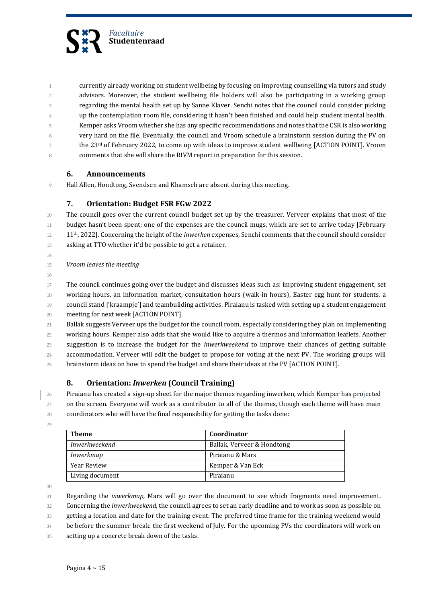

 currently already working on student wellbeing by focusing on improving counselling via tutors and study advisors. Moreover, the student wellbeing file holders will also be participating in a working group regarding the mental health set up by Sanne Klaver. Senchi notes that the council could consider picking **b** up the contemplation room file, considering it hasn't been finished and could help student mental health. Kemper asks Vroom whether she has any specific recommendations and notes that the CSR is also working very hard on the file. Eventually, the council and Vroom schedule a brainstorm session during the PV on  $\tau$  the 23<sup>rd</sup> of February 2022, to come up with ideas to improve student wellbeing [ACTION POINT]. Vroom comments that she will share the RIVM report in preparation for this session.

#### **6. Announcements**

Hall Allen, Hondtong, Svendsen and Khamseh are absent during this meeting.

# **7. Orientation: Budget FSR FGw 2022**

 The council goes over the current council budget set up by the treasurer. Verveer explains that most of the 11 budget hasn't been spent; one of the expenses are the council mugs, which are set to arrive today [February 12 11<sup>th</sup>, 2022]. Concerning the height of the *inwerken* expenses, Senchi comments that the council should consider 13 asking at TTO whether it'd be possible to get a retainer.

- 
- *Vroom leaves the meeting*
- 

 The council continues going over the budget and discusses ideas such as: improving student engagement, set working hours, an information market, consultation hours (walk-in hours), Easter egg hunt for students, a 19 council stand ['kraampje'] and teambuilding activities. Piraianu is tasked with setting up a student engagement meeting for next week [ACTION POINT].

 Ballak suggests Verveer ups the budget for the council room, especially considering they plan on implementing working hours. Kemper also adds that she would like to acquire a thermos and information leaflets. Another suggestion is to increase the budget for the *inwerkweekend* to improve their chances of getting suitable accommodation. Verveer will edit the budget to propose for voting at the next PV. The working groups will brainstorm ideas on how to spend the budget and share their ideas at the PV [ACTION POINT].

# **8. Orientation:** *Inwerken* **(Council Training)**

 Piraianu has created a sign-up sheet for the major themes regarding inwerken, which Kemper has projected on the screen. Everyone will work as a contributor to all of the themes, though each theme will have main coordinators who will have the final responsibility for getting the tasks done:

| <b>Theme</b>    | Coordinator                |
|-----------------|----------------------------|
| Inwerkweekend   | Ballak, Verveer & Hondtong |
| Inwerkmap       | Piraianu & Mars            |
| Year Review     | Kemper & Van Eck           |
| Living document | Piraianu                   |

Regarding the *inwerkmap,* Mars will go over the document to see which fragments need improvement.

Concerning the *inwerkweekend*, the council agrees to set an early deadline and to work as soon as possible on

getting a location and date for the training event. The preferred time frame for the training weekend would

be before the summer break: the first weekend of July. For the upcoming PVs the coordinators will work on

setting up a concrete break down of the tasks.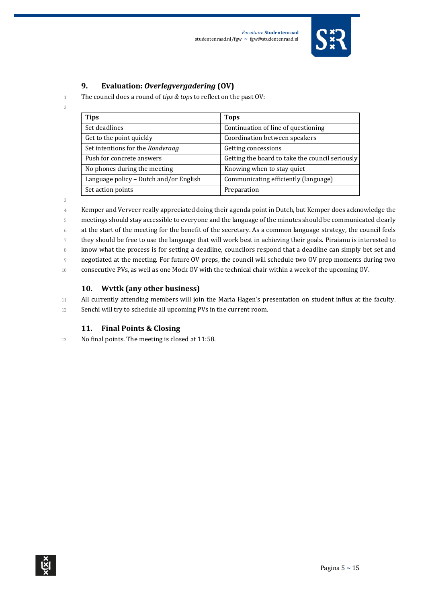

# **9. Evaluation:** *Overlegvergadering* **(OV)**

1 The council does a round of *tips & tops* to reflect on the past OV:

| <b>Tips</b>                            | <b>Tops</b>                                     |
|----------------------------------------|-------------------------------------------------|
| Set deadlines                          | Continuation of line of questioning             |
| Get to the point quickly               | Coordination between speakers                   |
| Set intentions for the Rondvraag       | Getting concessions                             |
| Push for concrete answers              | Getting the board to take the council seriously |
| No phones during the meeting           | Knowing when to stay quiet                      |
| Language policy - Dutch and/or English | Communicating efficiently (language)            |
| Set action points                      | Preparation                                     |

3

2

 Kemper and Verveer really appreciated doing their agenda point in Dutch, but Kemper does acknowledge the meetings should stay accessible to everyone and the language of the minutes should be communicated clearly at the start of the meeting for the benefit of the secretary. As a common language strategy, the council feels they should be free to use the language that will work best in achieving their goals. Piraianu is interested to know what the process is for setting a deadline, councilors respond that a deadline can simply bet set and negotiated at the meeting. For future OV preps, the council will schedule two OV prep moments during two consecutive PVs, as well as one Mock OV with the technical chair within a week of the upcoming OV.

# **10. Wvttk (any other business)**

11 All currently attending members will join the Maria Hagen's presentation on student influx at the faculty.

12 Senchi will try to schedule all upcoming PVs in the current room.

# **11. Final Points & Closing**

13 No final points. The meeting is closed at 11:58.

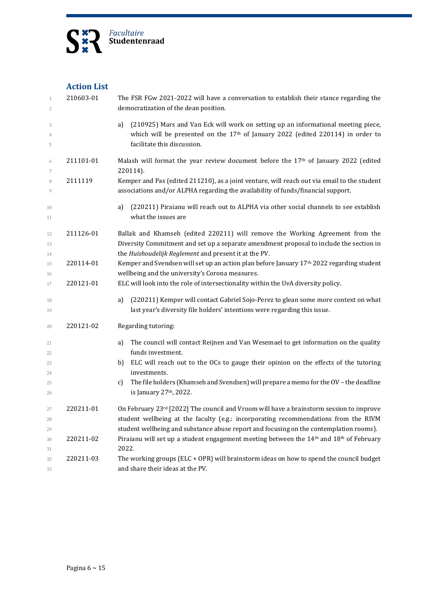

# **Action List**

| $\mathbf{1}$<br>$\overline{2}$ | 210603-01 | The FSR FGw 2021-2022 will have a conversation to establish their stance regarding the<br>democratization of the dean position.                                                                                                                                               |
|--------------------------------|-----------|-------------------------------------------------------------------------------------------------------------------------------------------------------------------------------------------------------------------------------------------------------------------------------|
| 3<br>4<br>5                    |           | (210925) Mars and Van Eck will work on setting up an informational meeting piece,<br>a)<br>which will be presented on the 17th of January 2022 (edited 220114) in order to<br>facilitate this discussion.                                                                     |
| 6<br>7                         | 211101-01 | Malash will format the year review document before the 17 <sup>th</sup> of January 2022 (edited<br>220114).                                                                                                                                                                   |
| 8<br>9                         | 2111119   | Kemper and Pas (edited 211210), as a joint venture, will reach out via email to the student<br>associations and/or ALPHA regarding the availability of funds/financial support.                                                                                               |
| 10<br>11                       |           | (220211) Piraianu will reach out to ALPHA via other social channels to see establish<br>a)<br>what the issues are                                                                                                                                                             |
| 12<br>13<br>14                 | 211126-01 | Ballak and Khamseh (edited 220211) will remove the Working Agreement from the<br>Diversity Commitment and set up a separate amendment proposal to include the section in<br>the Huishoudelijk Reglement and present it at the PV.                                             |
| 15<br>16                       | 220114-01 | Kemper and Svendsen will set up an action plan before January 17 <sup>th</sup> 2022 regarding student<br>wellbeing and the university's Corona measures.                                                                                                                      |
| 17                             | 220121-01 | ELC will look into the role of intersectionality within the UvA diversity policy.                                                                                                                                                                                             |
| 18<br>19                       |           | (220211) Kemper will contact Gabriel Sojo-Perez to glean some more context on what<br>a)<br>last year's diversity file holders' intentions were regarding this issue.                                                                                                         |
| 20                             | 220121-02 | Regarding tutoring:                                                                                                                                                                                                                                                           |
| 21<br>22                       |           | The council will contact Reijnen and Van Wesemael to get information on the quality<br>a)<br>funds investment.                                                                                                                                                                |
| 23<br>24                       |           | ELC will reach out to the OCs to gauge their opinion on the effects of the tutoring<br>b)<br>investments.                                                                                                                                                                     |
| 25<br>26                       |           | The file holders (Khamseh and Svendsen) will prepare a memo for the OV - the deadline<br>c)<br>is January 27th, 2022.                                                                                                                                                         |
| 27<br>28<br>29                 | 220211-01 | On February $23^{rd}$ [2022] The council and Vroom will have a brainstorm session to improve<br>student wellbeing at the faculty (e.g.: incorporating recommendations from the RIVM<br>student wellbeing and substance abuse report and focusing on the contemplation rooms). |
| 30<br>31                       | 220211-02 | Piraianu will set up a student engagement meeting between the 14 <sup>th</sup> and 18 <sup>th</sup> of February<br>2022.                                                                                                                                                      |
| 32<br>33                       | 220211-03 | The working groups (ELC + OPR) will brainstorm ideas on how to spend the council budget<br>and share their ideas at the PV.                                                                                                                                                   |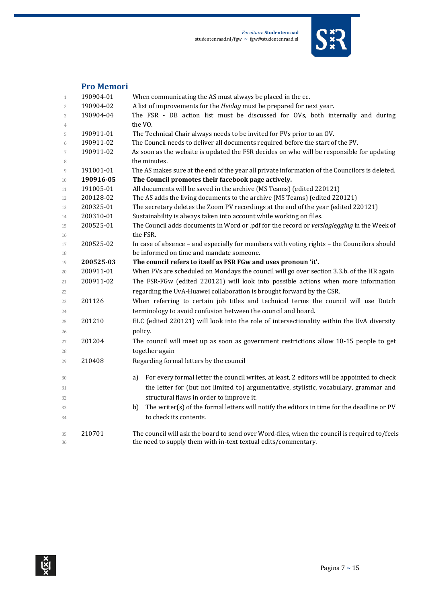

# **Pro Memori**

| $\mathbf{1}$     | 190904-01 | When communicating the AS must always be placed in the cc.                                       |
|------------------|-----------|--------------------------------------------------------------------------------------------------|
| $\overline{2}$   | 190904-02 | A list of improvements for the Heidag must be prepared for next year.                            |
| 3                | 190904-04 | The FSR - DB action list must be discussed for OVs, both internally and during                   |
| 4                |           | the VO.                                                                                          |
| 5                | 190911-01 | The Technical Chair always needs to be invited for PVs prior to an OV.                           |
| 6                | 190911-02 | The Council needs to deliver all documents required before the start of the PV.                  |
| $\boldsymbol{7}$ | 190911-02 | As soon as the website is updated the FSR decides on who will be responsible for updating        |
| 8                |           | the minutes.                                                                                     |
| 9                | 191001-01 | The AS makes sure at the end of the year all private information of the Councilors is deleted.   |
| 10               | 190916-05 | The Council promotes their facebook page actively.                                               |
| 11               | 191005-01 | All documents will be saved in the archive (MS Teams) (edited 220121)                            |
| 12               | 200128-02 | The AS adds the living documents to the archive (MS Teams) (edited 220121)                       |
| 13               | 200325-01 | The secretary deletes the Zoom PV recordings at the end of the year (edited 220121)              |
| 14               | 200310-01 | Sustainability is always taken into account while working on files.                              |
| 15               | 200525-01 | The Council adds documents in Word or .pdf for the record or verslaglegging in the Week of       |
| 16               |           | the FSR.                                                                                         |
| 17               | 200525-02 | In case of absence - and especially for members with voting rights - the Councilors should       |
| 18               |           | be informed on time and mandate someone.                                                         |
| 19               | 200525-03 | The council refers to itself as FSR FGw and uses pronoun 'it'.                                   |
| 20               | 200911-01 | When PVs are scheduled on Mondays the council will go over section 3.3.b. of the HR again        |
| 21               | 200911-02 | The FSR-FGw (edited 220121) will look into possible actions when more information                |
| 22               |           | regarding the UvA-Huawei collaboration is brought forward by the CSR.                            |
| 23               | 201126    | When referring to certain job titles and technical terms the council will use Dutch              |
| 24               |           | terminology to avoid confusion between the council and board.                                    |
| 25               | 201210    | ELC (edited 220121) will look into the role of intersectionality within the UvA diversity        |
| 26               |           | policy.                                                                                          |
| 27               | 201204    | The council will meet up as soon as government restrictions allow 10-15 people to get            |
| 28               |           | together again                                                                                   |
| 29               | 210408    | Regarding formal letters by the council                                                          |
|                  |           | For every formal letter the council writes, at least, 2 editors will be appointed to check       |
| 30               |           | a)                                                                                               |
| 31               |           | the letter for (but not limited to) argumentative, stylistic, vocabulary, grammar and            |
| 32               |           | structural flaws in order to improve it.                                                         |
| 33               |           | The writer(s) of the formal letters will notify the editors in time for the deadline or PV<br>b) |
| 34               |           | to check its contents.                                                                           |
| 35               | 210701    | The council will ask the board to send over Word-files, when the council is required to/feels    |
| 36               |           | the need to supply them with in-text textual edits/commentary.                                   |
|                  |           |                                                                                                  |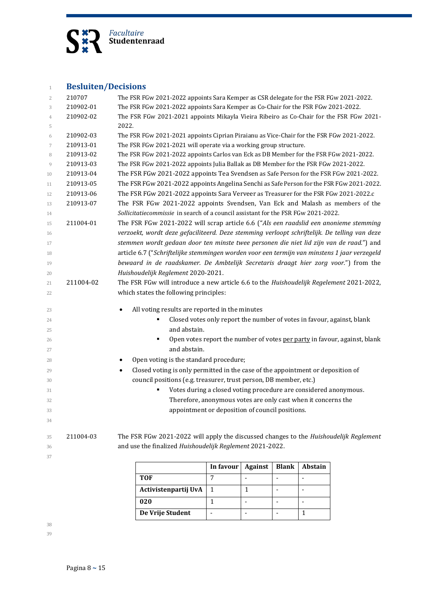

| $\mathbf{1}$   | <b>Besluiten/Decisions</b> |                                                                                              |                                                                                          |                          |                              |                          |  |  |
|----------------|----------------------------|----------------------------------------------------------------------------------------------|------------------------------------------------------------------------------------------|--------------------------|------------------------------|--------------------------|--|--|
| $\overline{2}$ | 210707                     | The FSR FGw 2021-2022 appoints Sara Kemper as CSR delegate for the FSR FGw 2021-2022.        |                                                                                          |                          |                              |                          |  |  |
| 3              | 210902-01                  | The FSR FGw 2021-2022 appoints Sara Kemper as Co-Chair for the FSR FGw 2021-2022.            |                                                                                          |                          |                              |                          |  |  |
| $\overline{4}$ | 210902-02                  | The FSR FGw 2021-2021 appoints Mikayla Vieira Ribeiro as Co-Chair for the FSR FGw 2021-      |                                                                                          |                          |                              |                          |  |  |
| 5              |                            | 2022.                                                                                        |                                                                                          |                          |                              |                          |  |  |
| 6              | 210902-03                  | The FSR FGw 2021-2021 appoints Ciprian Piraianu as Vice-Chair for the FSR FGw 2021-2022.     |                                                                                          |                          |                              |                          |  |  |
| 7              | 210913-01                  | The FSR FGw 2021-2021 will operate via a working group structure.                            |                                                                                          |                          |                              |                          |  |  |
| 8              | 210913-02                  | The FSR FGw 2021-2022 appoints Carlos van Eck as DB Member for the FSR FGw 2021-2022.        |                                                                                          |                          |                              |                          |  |  |
| 9              | 210913-03                  | The FSR FGw 2021-2022 appoints Julia Ballak as DB Member for the FSR FGw 2021-2022.          |                                                                                          |                          |                              |                          |  |  |
| 10             | 210913-04                  | The FSR FGw 2021-2022 appoints Tea Svendsen as Safe Person for the FSR FGw 2021-2022.        |                                                                                          |                          |                              |                          |  |  |
| 11             | 210913-05                  |                                                                                              | The FSR FGw 2021-2022 appoints Angelina Senchi as Safe Person for the FSR FGw 2021-2022. |                          |                              |                          |  |  |
| 12             | 210913-06                  | The FSR FGw 2021-2022 appoints Sara Verveer as Treasurer for the FSR FGw 2021-2022.c         |                                                                                          |                          |                              |                          |  |  |
| 13             | 210913-07                  | The FSR FGw 2021-2022 appoints Svendsen, Van Eck and Malash as members of the                |                                                                                          |                          |                              |                          |  |  |
| 14             |                            | Sollicitatiecommissie in search of a council assistant for the FSR FGw 2021-2022.            |                                                                                          |                          |                              |                          |  |  |
| 15             | 211004-01                  | The FSR FGw 2021-2022 will scrap article 6.6 ("Als een raadslid een anonieme stemming        |                                                                                          |                          |                              |                          |  |  |
| 16             |                            | verzoekt, wordt deze gefaciliteerd. Deze stemming verloopt schriftelijk. De telling van deze |                                                                                          |                          |                              |                          |  |  |
| 17             |                            | stemmen wordt gedaan door ten minste twee personen die niet lid zijn van de raad.") and      |                                                                                          |                          |                              |                          |  |  |
| 18             |                            | article 6.7 ("Schriftelijke stemmingen worden voor een termijn van minstens 1 jaar verzegeld |                                                                                          |                          |                              |                          |  |  |
| 19             |                            | bewaard in de raadskamer. De Ambtelijk Secretaris draagt hier zorg voor.") from the          |                                                                                          |                          |                              |                          |  |  |
| 20             |                            | Huishoudelijk Reglement 2020-2021.                                                           |                                                                                          |                          |                              |                          |  |  |
| 21             | 211004-02                  | The FSR FGw will introduce a new article 6.6 to the Huishoudelijk Regelement 2021-2022,      |                                                                                          |                          |                              |                          |  |  |
| 22             |                            |                                                                                              | which states the following principles:                                                   |                          |                              |                          |  |  |
|                |                            |                                                                                              |                                                                                          |                          |                              |                          |  |  |
| 23<br>24       |                            | All voting results are reported in the minutes<br>٠                                          |                                                                                          |                          |                              |                          |  |  |
| 25             |                            | Closed votes only report the number of votes in favour, against, blank<br>and abstain.       |                                                                                          |                          |                              |                          |  |  |
| 26             |                            | Open votes report the number of votes per party in favour, against, blank<br>٠               |                                                                                          |                          |                              |                          |  |  |
| 27             |                            | and abstain.                                                                                 |                                                                                          |                          |                              |                          |  |  |
|                |                            | Open voting is the standard procedure;                                                       |                                                                                          |                          |                              |                          |  |  |
| 28             |                            | Closed voting is only permitted in the case of the appointment or deposition of<br>٠         |                                                                                          |                          |                              |                          |  |  |
| 29             |                            | council positions (e.g. treasurer, trust person, DB member, etc.)                            |                                                                                          |                          |                              |                          |  |  |
| 30             |                            |                                                                                              | Votes during a closed voting procedure are considered anonymous.                         |                          |                              |                          |  |  |
| 31             |                            |                                                                                              | Therefore, anonymous votes are only cast when it concerns the                            |                          |                              |                          |  |  |
| 32<br>33       |                            |                                                                                              | appointment or deposition of council positions.                                          |                          |                              |                          |  |  |
| 34             |                            |                                                                                              |                                                                                          |                          |                              |                          |  |  |
|                |                            |                                                                                              |                                                                                          |                          |                              |                          |  |  |
| 35             | 211004-03                  | The FSR FGw 2021-2022 will apply the discussed changes to the Huishoudelijk Reglement        |                                                                                          |                          |                              |                          |  |  |
| 36             |                            | and use the finalized Huishoudelijk Reglement 2021-2022.                                     |                                                                                          |                          |                              |                          |  |  |
| 37             |                            |                                                                                              |                                                                                          |                          |                              |                          |  |  |
|                |                            |                                                                                              | In favour                                                                                | <b>Against</b>           | <b>Blank</b>                 | Abstain                  |  |  |
|                |                            | <b>TOF</b>                                                                                   | 7                                                                                        | $\blacksquare$           | $\qquad \qquad \blacksquare$ | $\overline{\phantom{a}}$ |  |  |
|                |                            | Activistenpartij UvA                                                                         | $\mathbf{1}$                                                                             | 1                        | $\overline{\phantom{a}}$     | $\overline{\phantom{a}}$ |  |  |
|                |                            | 020                                                                                          | $\mathbf{1}$                                                                             | $\blacksquare$           | $\frac{1}{2}$                | $\overline{\phantom{a}}$ |  |  |
|                |                            |                                                                                              |                                                                                          |                          |                              |                          |  |  |
|                |                            | De Vrije Student                                                                             | $\blacksquare$                                                                           | $\overline{\phantom{a}}$ | $\overline{\phantom{a}}$     | $\mathbf{1}$             |  |  |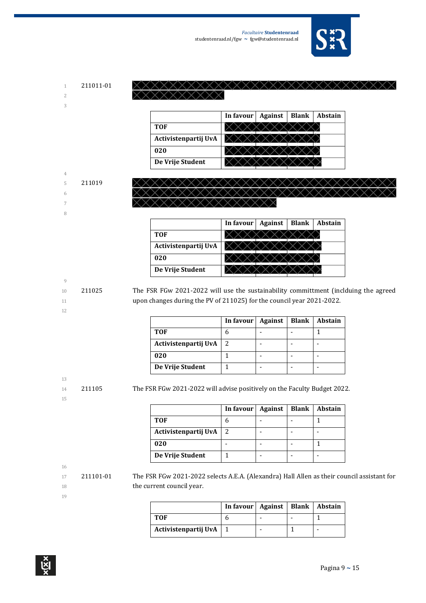

| 211011-01 | XXXXXXXXXXXXXXXXXXXXXXXXXXX |
|-----------|-----------------------------|
|           | XXXXXXXXXX                  |
|           |                             |

|                      | In favour | <b>Against</b> | <b>Blank</b> | Abstain |
|----------------------|-----------|----------------|--------------|---------|
| <b>TOF</b>           |           |                |              |         |
| Activistenpartij UvA |           |                |              |         |
| 020                  |           |                |              |         |
| De Vrije Student     |           |                |              |         |



|                      | In favour | Against | <b>Blank</b> | <b>Abstain</b> |
|----------------------|-----------|---------|--------------|----------------|
| <b>TOF</b>           |           |         |              |                |
| Activistenpartij UvA |           |         |              |                |
| 020                  |           |         |              |                |
| De Vrije Student     |           |         |              |                |

12

10 211025 The FSR FGw 2021-2022 will use the sustainability committment (inclduing the agreed 11 upon changes during the PV of 211025) for the council year 2021-2022.

|                      | In favour | Against | <b>Blank</b> | <b>Abstain</b> |
|----------------------|-----------|---------|--------------|----------------|
| <b>TOF</b>           |           |         |              |                |
| Activistenpartij UvA |           |         |              |                |
| 020                  |           |         |              |                |
| De Vrije Student     |           |         |              |                |

13

15

14 211105 The FSR FGw 2021-2022 will advise positively on the Faculty Budget 2022.

|                      | In favour $\vert$ | <b>Against</b> | <b>Blank</b> | <b>Abstain</b> |
|----------------------|-------------------|----------------|--------------|----------------|
| <b>TOF</b>           |                   |                |              |                |
| Activistenpartij UvA |                   |                |              |                |
| 020                  |                   |                |              |                |
| De Vrije Student     |                   |                |              |                |

16

17 211101-01 The FSR FGw 2021-2022 selects A.E.A. (Alexandra) Hall Allen as their council assistant for 18 the current council year.

|                      | In favour   Against   Blank   Abstain |  |  |
|----------------------|---------------------------------------|--|--|
| TOF                  |                                       |  |  |
| Activistenpartij UvA |                                       |  |  |

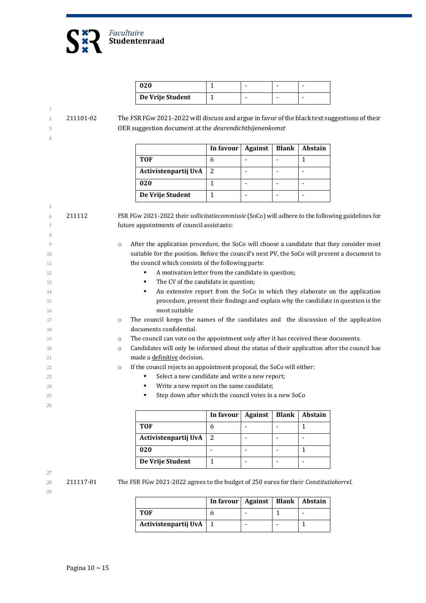

| 020              |  |  |
|------------------|--|--|
| De Vrije Student |  |  |

5

8

1

2 211101-02 The FSR FGw 2021-2022 will discuss and argue in favor of the black text suggestions of their 3 OER suggestion document at the *deurendichtbijenenkomst*

|                      | In favour | <b>Against</b> | <b>Blank</b> | <b>Abstain</b> |
|----------------------|-----------|----------------|--------------|----------------|
| TOF                  |           |                |              |                |
| Activistenpartij UvA |           |                |              |                |
| 020                  |           |                |              |                |
| De Vrije Student     |           |                |              |                |

6 211112 FSR FGw 2021-2022 their *sollicitatiecommissie* (SoCo) will adhere to the following guidelines for 7 future appointments of council assistants:

9 o After the application procedure, the SoCo will choose a candidate that they consider most 10 suitable for the position. Before the council's next PV, the SoCo will present a document to 11 the council which consists of the following parts:

- 12 **A motivation letter from the candidate in question;**
- 13 **The CV** of the candidate in question;
- 14 **An extensive report from the SoCo in which they elaborate on the application** 15 procedure, present their findings and explain why the candidate in question is the 16 most suitable
- 17 o The council keeps the names of the candidates and the discussion of the application 18 documents confidential.
- 19 o The council can vote on the appointment only after it has received these documents.
- 20 **candidates will only be informed about the status of their application after the council has** 21 made a definitive decision.
- 22 **o** If the council rejects an appointment proposal, the SoCo will either:
- 23 **Select a new candidate and write a new report;**
- 24 **Write a new report on the same candidate;**
- 25 Step down after which the council votes in a new SoCo

|                      | In favour | Against | <b>Blank</b> | <b>Abstain</b> |
|----------------------|-----------|---------|--------------|----------------|
| <b>TOF</b>           |           |         |              |                |
| Activistenpartij UvA |           |         |              |                |
| 020                  |           |         |              |                |
| De Vrije Student     |           |         |              |                |

27

26

28 211117-01 The FSR FGw 2021-2022 agrees to the budget of 250 euros for their *Constitutieborrel*.

|                      | In favour   Against   Blank   Abstain |  |  |
|----------------------|---------------------------------------|--|--|
| <b>TOF</b>           |                                       |  |  |
| Activistenpartij UvA |                                       |  |  |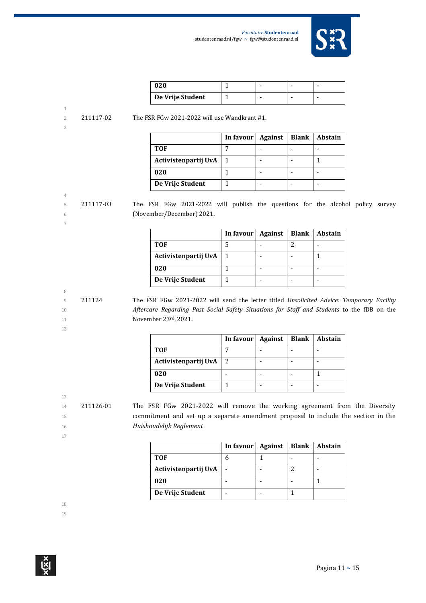

| 020              |  |  |
|------------------|--|--|
| De Vrije Student |  |  |

| 2111' |  |
|-------|--|

4

7

2 211117-02 The FSR FGw 2021-2022 will use Wandkrant #1.

|                      | In favour $\vert$ | <b>Against</b> | Blank | Abstain |
|----------------------|-------------------|----------------|-------|---------|
| TOF                  |                   |                |       |         |
| Activistenpartij UvA |                   |                |       |         |
| 020                  |                   |                |       |         |
| De Vrije Student     |                   |                |       |         |

5 211117-03 The FSR FGw 2021-2022 will publish the questions for the alcohol policy survey 6 (November/December) 2021.

|                      | In favour | <b>Against</b> | <b>Blank</b> | Abstain |
|----------------------|-----------|----------------|--------------|---------|
| <b>TOF</b>           |           |                |              |         |
| Activistenpartij UvA |           |                |              |         |
| 020                  |           |                |              |         |
| De Vrije Student     |           |                |              |         |

8

12

9 211124 The FSR FGw 2021-2022 will send the letter titled *Unsolicited Advice: Temporary Facility*  10 *Aftercare Regarding Past Social Safety Situations for Staff and Students* to the fDB on the 11 **November 23rd, 2021.** 

|                      | In favour   Against | <b>Blank</b> | <b>Abstain</b> |
|----------------------|---------------------|--------------|----------------|
| <b>TOF</b>           |                     |              |                |
| Activistenpartij UvA | 2                   |              |                |
| 020                  |                     |              |                |
| De Vrije Student     |                     |              |                |

13

14 211126-01 The FSR FGw 2021-2022 will remove the working agreement from the Diversity 15 commitment and set up a separate amendment proposal to include the section in the 16 *Huishoudelijk Reglement*

17

|                      | In favour | <b>Against</b> | Blank | Abstain |
|----------------------|-----------|----------------|-------|---------|
| <b>TOF</b>           |           |                |       |         |
| Activistenpartij UvA |           |                |       |         |
| 020                  |           |                |       |         |
| De Vrije Student     |           |                |       |         |

18

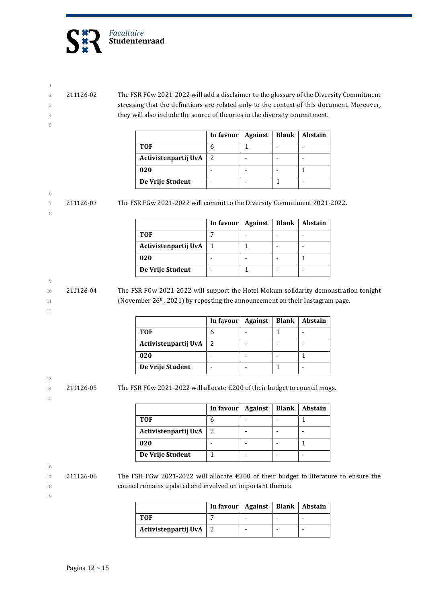

2 211126-02 The FSR FGw 2021-2022 will add a disclaimer to the glossary of the Diversity Commitment 3 stressing that the definitions are related only to the context of this document. Moreover, 4 they will also include the source of theories in the diversity commitment.

|                      | In favour | Against | <b>Blank</b> | <b>Abstain</b> |
|----------------------|-----------|---------|--------------|----------------|
| TOF                  |           |         |              |                |
| Activistenpartij UvA |           |         |              |                |
| 020                  |           |         |              |                |
| De Vrije Student     |           |         |              |                |

6

8

1

5

7 211126-03 The FSR FGw 2021-2022 will commit to the Diversity Commitment 2021-2022.

|                      | In favour | Against | <b>Blank</b> | Abstain |
|----------------------|-----------|---------|--------------|---------|
| <b>TOF</b>           |           |         |              |         |
| Activistenpartij UvA |           |         |              |         |
| 020                  |           |         |              |         |
| De Vrije Student     |           |         |              |         |

9

12

10 211126-04 The FSR FGw 2021-2022 will support the Hotel Mokum solidarity demonstration tonight 11 (November 26<sup>th</sup>, 2021) by reposting the announcement on their Instagram page.

|                      | In favour | Against | <b>Blank</b> | <b>Abstain</b> |
|----------------------|-----------|---------|--------------|----------------|
| <b>TOF</b>           |           |         |              |                |
| Activistenpartij UvA |           |         |              |                |
| 020                  |           |         |              |                |
| De Vrije Student     |           |         |              |                |

 $14$  211126-05 The FSR FGw 2021-2022 will allocate  $\epsilon$  200 of their budget to council mugs.

15

19

13

**In favour | Against | Blank | Abstain TOF** 6 - - 1 **Activistenpartij UvA** 2 - - - -**020** - 1 - 1 1 **De Vrije Student** | 1 | - | - | -

16

17 211126-06 The FSR FGw 2021-2022 will allocate €300 of their budget to literature to ensure the 18 council remains updated and involved on important themes

|                      | In favour   Against   Blank   Abstain |  |  |
|----------------------|---------------------------------------|--|--|
| TOF                  |                                       |  |  |
| Activistenpartij UvA |                                       |  |  |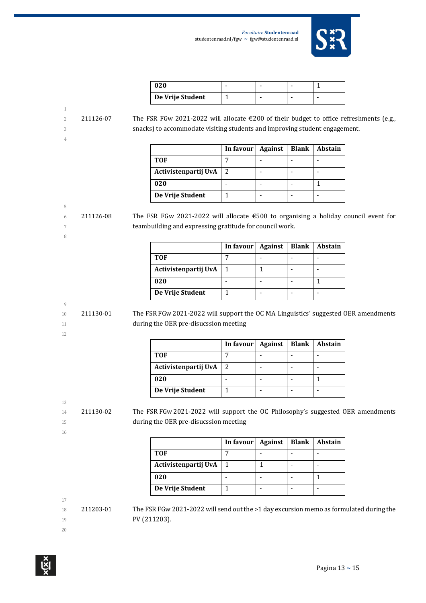

| 020              |  |  |
|------------------|--|--|
| De Vrije Student |  |  |

1

2 211126-07 The FSR FGw 2021-2022 will allocate €200 of their budget to office refreshments (e.g., 3 snacks) to accommodate visiting students and improving student engagement.

|                      | In favour $\vert$ | <b>Against</b> | Blank | <b>Abstain</b> |
|----------------------|-------------------|----------------|-------|----------------|
| <b>TOF</b>           |                   |                |       |                |
| Activistenpartij UvA |                   |                |       |                |
| 020                  |                   |                |       |                |
| De Vrije Student     |                   |                |       |                |

# 5

8

6 211126-08 The FSR FGw 2021-2022 will allocate  $\epsilon$  500 to organising a holiday council event for 7 teambuilding and expressing gratitude for council work.

|                      | In favour | Against | <b>Blank</b> | Abstain |
|----------------------|-----------|---------|--------------|---------|
| TOF                  |           |         |              |         |
| Activistenpartij UvA |           |         |              |         |
| 020                  |           |         |              |         |
| De Vrije Student     |           |         |              |         |

# 9

10 211130-01 The FSR FGw 2021-2022 will support the OC MA Linguistics' suggested OER amendments 11 during the OER pre-disucssion meeting

12

|                      | In favour   Against | <b>Blank</b> | <b>Abstain</b> |
|----------------------|---------------------|--------------|----------------|
| <b>TOF</b>           |                     |              |                |
| Activistenpartij UvA | 2                   |              |                |
| 020                  |                     |              |                |
| De Vrije Student     |                     |              |                |

13

14 211130-02 The FSR FGw 2021-2022 will support the OC Philosophy's suggested OER amendments 15 during the OER pre-disucssion meeting

16

|                      | In favour | <b>Against</b> | <b>Blank</b> | Abstain |
|----------------------|-----------|----------------|--------------|---------|
| TOF                  |           |                |              |         |
| Activistenpartij UvA |           |                |              |         |
| 020                  |           |                |              |         |
| De Vrije Student     |           |                |              |         |

17

 $18$  211203-01 The FSR FGw 2021-2022 will send out the >1 day excursion memo as formulated during the 19 **PV (211203).** 

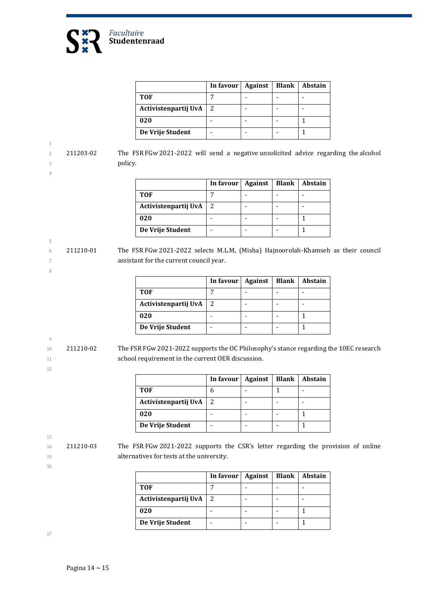

|                      | In favour | Against | <b>Blank</b> | Abstain |
|----------------------|-----------|---------|--------------|---------|
| <b>TOF</b>           |           |         |              |         |
| Activistenpartij UvA |           |         |              |         |
| 020                  |           |         |              |         |
| De Vrije Student     |           |         |              |         |

2 211203-02 The FSR FGw 2021-2022 will send a negative unsolicited advice regarding the alcohol 3 policy.

|                      | In favour | Against | <b>Blank</b> | <b>Abstain</b> |
|----------------------|-----------|---------|--------------|----------------|
| <b>TOF</b>           |           |         |              |                |
| Activistenpartij UvA |           |         |              |                |
| 020                  |           |         |              |                |
| De Vrije Student     |           |         |              |                |

6 211210-01 The FSR FGw 2021-2022 selects M.L.M, (Misha) Hajnoorolah-Khamseh as their council 7 assistant for the current council year.

|                      | In favour | <b>Against</b> | <b>Blank</b> | Abstain |
|----------------------|-----------|----------------|--------------|---------|
| TOF                  |           |                |              |         |
| Activistenpartij UvA |           |                |              |         |
| 020                  |           |                |              |         |
| De Vrije Student     |           |                |              |         |

9

1

4

5

8

10 211210-02 The FSR FGw 2021-2022 supports the OC Philosophy's stance regarding the 10EC research 11 school requirement in the current OER discussion.

|                      | In favour $\vert$ | Against | <b>Blank</b> | <b>Abstain</b> |
|----------------------|-------------------|---------|--------------|----------------|
| <b>TOF</b>           |                   |         |              |                |
| Activistenpartij UvA |                   |         |              |                |
| 020                  |                   |         |              |                |
| De Vrije Student     |                   |         |              |                |

13

16

12

14 211210-03 The FSR FGw 2021-2022 supports the CSR's letter regarding the provision of online 15 alternatives for tests at the university.

|                      | In favour | Against | <b>Blank</b> | Abstain |
|----------------------|-----------|---------|--------------|---------|
| <b>TOF</b>           |           |         |              |         |
| Activistenpartij UvA |           |         |              |         |
| 020                  |           |         |              |         |
| De Vrije Student     |           |         |              |         |